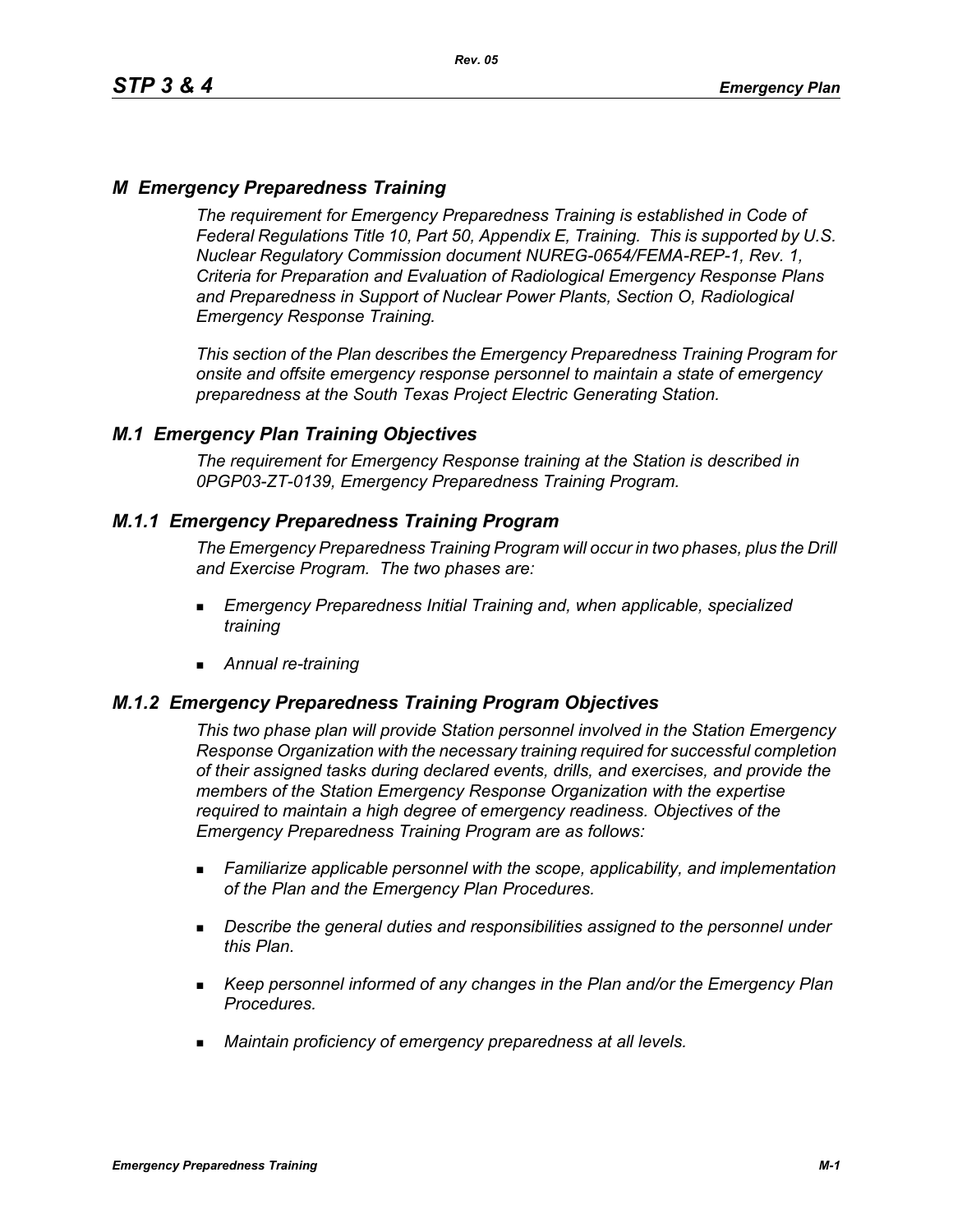# *M Emergency Preparedness Training*

*The requirement for Emergency Preparedness Training is established in Code of Federal Regulations Title 10, Part 50, Appendix E, Training. This is supported by U.S. Nuclear Regulatory Commission document NUREG-0654/FEMA-REP-1, Rev. 1, Criteria for Preparation and Evaluation of Radiological Emergency Response Plans and Preparedness in Support of Nuclear Power Plants, Section O, Radiological Emergency Response Training.*

*This section of the Plan describes the Emergency Preparedness Training Program for onsite and offsite emergency response personnel to maintain a state of emergency preparedness at the South Texas Project Electric Generating Station.*

## *M.1 Emergency Plan Training Objectives*

*The requirement for Emergency Response training at the Station is described in 0PGP03-ZT-0139, Emergency Preparedness Training Program.*

## *M.1.1 Emergency Preparedness Training Program*

*The Emergency Preparedness Training Program will occur in two phases, plus the Drill and Exercise Program. The two phases are:*

- *Emergency Preparedness Initial Training and, when applicable, specialized training*
- *Annual re-training*

## *M.1.2 Emergency Preparedness Training Program Objectives*

*This two phase plan will provide Station personnel involved in the Station Emergency Response Organization with the necessary training required for successful completion of their assigned tasks during declared events, drills, and exercises, and provide the members of the Station Emergency Response Organization with the expertise required to maintain a high degree of emergency readiness. Objectives of the Emergency Preparedness Training Program are as follows:*

- *Familiarize applicable personnel with the scope, applicability, and implementation of the Plan and the Emergency Plan Procedures.*
- *Describe the general duties and responsibilities assigned to the personnel under this Plan.*
- *Keep personnel informed of any changes in the Plan and/or the Emergency Plan Procedures.*
- *Maintain proficiency of emergency preparedness at all levels.*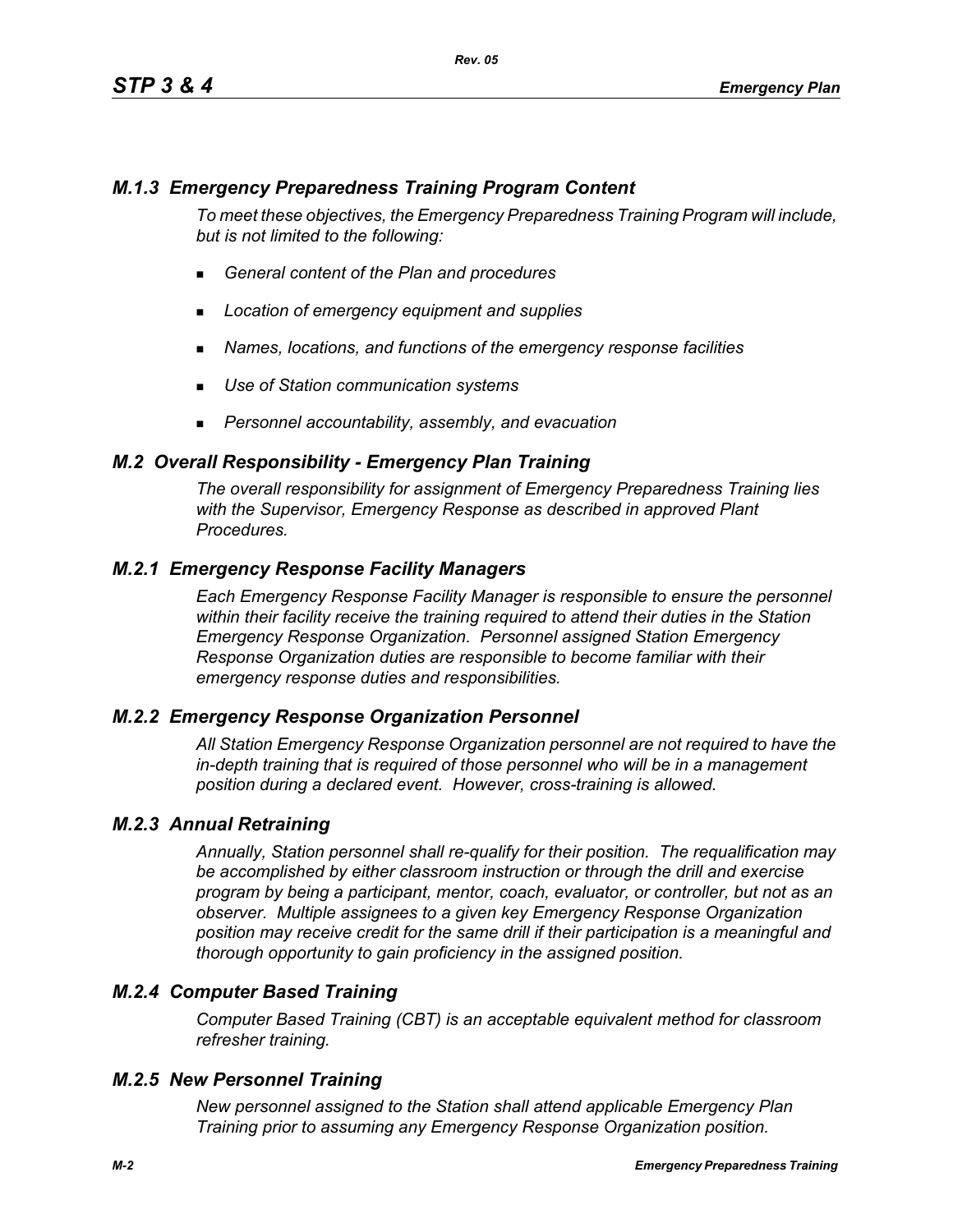# *M.1.3 Emergency Preparedness Training Program Content*

*To meet these objectives, the Emergency Preparedness Training Program will include, but is not limited to the following:*

- *General content of the Plan and procedures*
- *Location of emergency equipment and supplies*
- *Names, locations, and functions of the emergency response facilities*
- *Use of Station communication systems*
- *Personnel accountability, assembly, and evacuation*

## *M.2 Overall Responsibility - Emergency Plan Training*

*The overall responsibility for assignment of Emergency Preparedness Training lies with the Supervisor, Emergency Response as described in approved Plant Procedures.*

## *M.2.1 Emergency Response Facility Managers*

*Each Emergency Response Facility Manager is responsible to ensure the personnel within their facility receive the training required to attend their duties in the Station Emergency Response Organization. Personnel assigned Station Emergency Response Organization duties are responsible to become familiar with their emergency response duties and responsibilities.*

#### *M.2.2 Emergency Response Organization Personnel*

*All Station Emergency Response Organization personnel are not required to have the in-depth training that is required of those personnel who will be in a management position during a declared event. However, cross-training is allowed.*

#### *M.2.3 Annual Retraining*

*Annually, Station personnel shall re-qualify for their position. The requalification may be accomplished by either classroom instruction or through the drill and exercise program by being a participant, mentor, coach, evaluator, or controller, but not as an observer. Multiple assignees to a given key Emergency Response Organization position may receive credit for the same drill if their participation is a meaningful and thorough opportunity to gain proficiency in the assigned position.*

## *M.2.4 Computer Based Training*

*Computer Based Training (CBT) is an acceptable equivalent method for classroom refresher training.*

#### *M.2.5 New Personnel Training*

*New personnel assigned to the Station shall attend applicable Emergency Plan Training prior to assuming any Emergency Response Organization position.*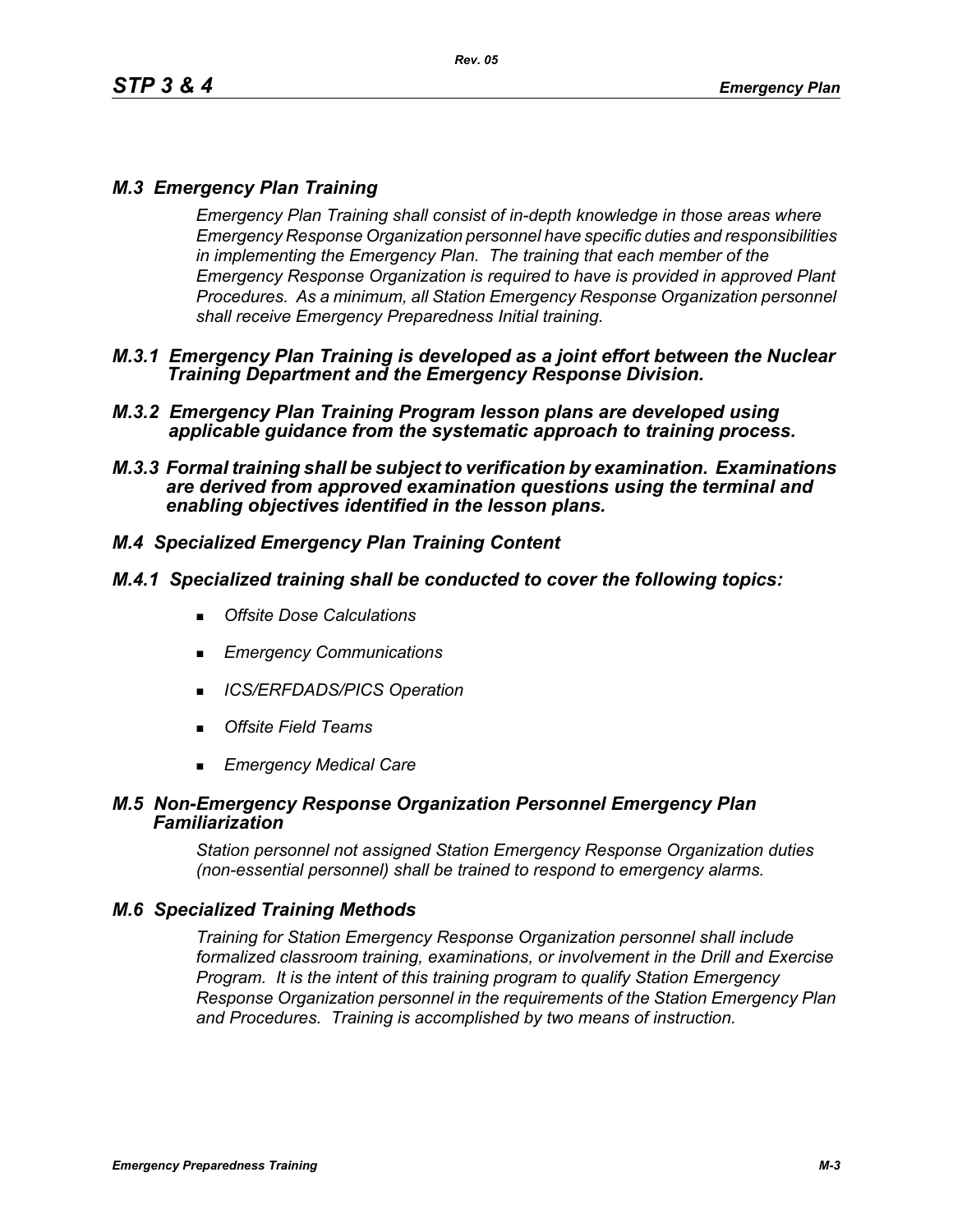# *M.3 Emergency Plan Training*

*Emergency Plan Training shall consist of in-depth knowledge in those areas where Emergency Response Organization personnel have specific duties and responsibilities in implementing the Emergency Plan. The training that each member of the Emergency Response Organization is required to have is provided in approved Plant Procedures. As a minimum, all Station Emergency Response Organization personnel shall receive Emergency Preparedness Initial training.*

- *M.3.1 Emergency Plan Training is developed as a joint effort between the Nuclear Training Department and the Emergency Response Division.*
- *M.3.2 Emergency Plan Training Program lesson plans are developed using applicable guidance from the systematic approach to training process.*
- *M.3.3 Formal training shall be subject to verification by examination. Examinations are derived from approved examination questions using the terminal and enabling objectives identified in the lesson plans.*

# *M.4 Specialized Emergency Plan Training Content*

## *M.4.1 Specialized training shall be conducted to cover the following topics:*

- *Offsite Dose Calculations*
- *Emergency Communications*
- *ICS/ERFDADS/PICS Operation*
- *Offsite Field Teams*
- *Emergency Medical Care*

#### *M.5 Non-Emergency Response Organization Personnel Emergency Plan Familiarization*

*Station personnel not assigned Station Emergency Response Organization duties (non-essential personnel) shall be trained to respond to emergency alarms.*

## *M.6 Specialized Training Methods*

*Training for Station Emergency Response Organization personnel shall include formalized classroom training, examinations, or involvement in the Drill and Exercise Program. It is the intent of this training program to qualify Station Emergency Response Organization personnel in the requirements of the Station Emergency Plan and Procedures. Training is accomplished by two means of instruction.*